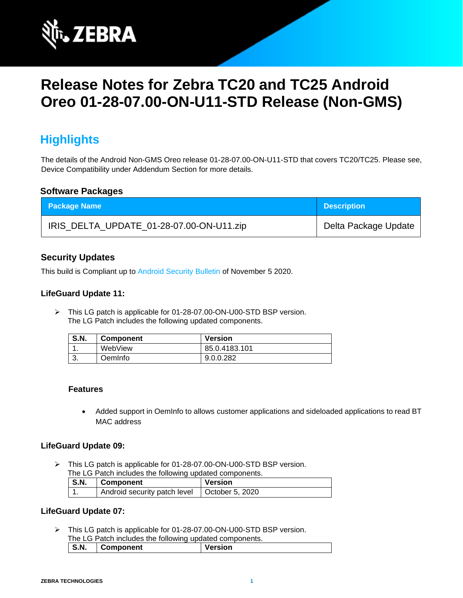

# **Release Notes for Zebra TC20 and TC25 Android Oreo 01-28-07.00-ON-U11-STD Release (Non-GMS)**

# **Highlights**

The details of the Android Non-GMS Oreo release 01-28-07.00-ON-U11-STD that covers TC20/TC25. Please see, Device Compatibility under Addendum Section for more details.

#### **Software Packages**

| <b>Package Name</b>                      | <b>Description</b>   |
|------------------------------------------|----------------------|
| IRIS_DELTA_UPDATE_01-28-07.00-ON-U11.zip | Delta Package Update |

### **Security Updates**

This build is Compliant up to [Android Security Bulletin](https://source.android.com/security/bulletin/) of November 5 2020.

#### **LifeGuard Update 11:**

➢ This LG patch is applicable for 01-28-07.00-ON-U00-STD BSP version. The LG Patch includes the following updated components.

| <b>S.N.</b> | <b>Component</b> | <b>Version</b> |
|-------------|------------------|----------------|
|             | WebView          | 85.0.4183.101  |
| J.          | OemInfo          | 9.0.0.282      |

#### **Features**

• Added support in OemInfo to allows customer applications and sideloaded applications to read BT MAC address

#### **LifeGuard Update 09:**

➢ This LG patch is applicable for 01-28-07.00-ON-U00-STD BSP version.

| The LG Patch includes the following updated components. |  |
|---------------------------------------------------------|--|
|                                                         |  |

| <b>S.N.</b> | Component                                      | Version |
|-------------|------------------------------------------------|---------|
|             | Android security patch level   October 5, 2020 |         |

#### **LifeGuard Update 07:**

➢ This LG patch is applicable for 01-28-07.00-ON-U00-STD BSP version. The LG Patch includes the following updated components.

| S.N. |  | <b>Component</b> | <b>Version</b> |
|------|--|------------------|----------------|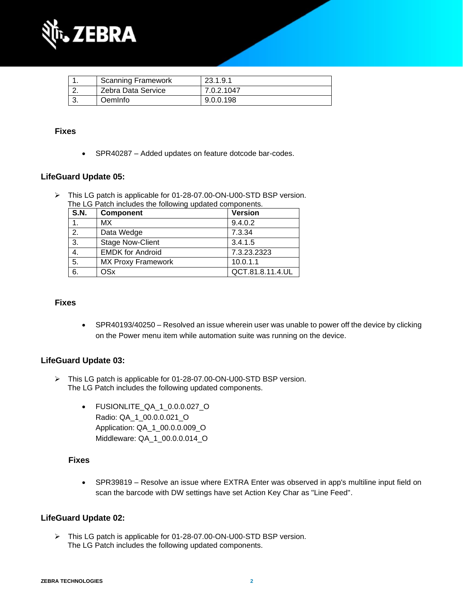

| <b>Scanning Framework</b> | 23.1.9.1   |
|---------------------------|------------|
| Zebra Data Service        | 7.0.2.1047 |
| OemInfo                   | 9.0.0.198  |

#### **Fixes**

• SPR40287 – Added updates on feature dotcode bar-codes.

#### **LifeGuard Update 05:**

➢ This LG patch is applicable for 01-28-07.00-ON-U00-STD BSP version. The LG Patch includes the following updated components.

| <b>S.N.</b> | <b>Component</b>          | <b>Version</b>   |
|-------------|---------------------------|------------------|
|             | МX                        | 9.4.0.2          |
| 2.          | Data Wedge                | 7.3.34           |
| 3.          | <b>Stage Now-Client</b>   | 3.4.1.5          |
| 4.          | <b>EMDK for Android</b>   | 7.3.23.2323      |
| 5.          | <b>MX Proxy Framework</b> | 10.0.1.1         |
| 6.          | OSx                       | QCT.81.8.11.4.UL |

#### **Fixes**

• SPR40193/40250 – Resolved an issue wherein user was unable to power off the device by clicking on the Power menu item while automation suite was running on the device.

#### **LifeGuard Update 03:**

- ➢ This LG patch is applicable for 01-28-07.00-ON-U00-STD BSP version. The LG Patch includes the following updated components.
	- FUSIONLITE\_QA\_1\_0.0.0.027\_O Radio: QA\_1\_00.0.0.021\_O Application: QA\_1\_00.0.0.009\_O Middleware: QA\_1\_00.0.0.014\_O

#### **Fixes**

• SPR39819 – Resolve an issue where EXTRA Enter was observed in app's multiline input field on scan the barcode with DW settings have set Action Key Char as "Line Feed".

#### **LifeGuard Update 02:**

➢ This LG patch is applicable for 01-28-07.00-ON-U00-STD BSP version. The LG Patch includes the following updated components.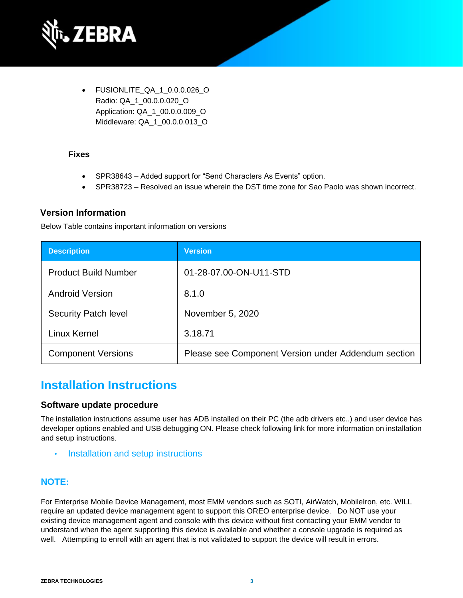

• FUSIONLITE\_QA\_1\_0.0.0.026\_O Radio: QA\_1\_00.0.0.020\_O Application: QA\_1\_00.0.0.009\_O Middleware: QA\_1\_00.0.0.013\_O

#### **Fixes**

- SPR38643 Added support for "Send Characters As Events" option.
- SPR38723 Resolved an issue wherein the DST time zone for Sao Paolo was shown incorrect.

#### **Version Information**

Below Table contains important information on versions

| <b>Description</b>          | <b>Version</b>                                      |
|-----------------------------|-----------------------------------------------------|
| <b>Product Build Number</b> | 01-28-07.00-ON-U11-STD                              |
| <b>Android Version</b>      | 8.1.0                                               |
| <b>Security Patch level</b> | November 5, 2020                                    |
| Linux Kernel                | 3.18.71                                             |
| <b>Component Versions</b>   | Please see Component Version under Addendum section |

### **Installation Instructions**

#### **Software update procedure**

The installation instructions assume user has ADB installed on their PC (the adb drivers etc..) and user device has developer options enabled and USB debugging ON. Please check following link for more information on installation and setup instructions.

**[Installation and setup instructions](https://www.zebra.com/content/dam/zebra_new_ia/en-us/software/operating-system/tc20-operating-system/Android-O-OS-Update-TC20-and-TC25-NGMS.pdf)** 

#### **NOTE:**

For Enterprise Mobile Device Management, most EMM vendors such as SOTI, AirWatch, MobileIron, etc. WILL require an updated device management agent to support this OREO enterprise device. Do NOT use your existing device management agent and console with this device without first contacting your EMM vendor to understand when the agent supporting this device is available and whether a console upgrade is required as well. Attempting to enroll with an agent that is not validated to support the device will result in errors.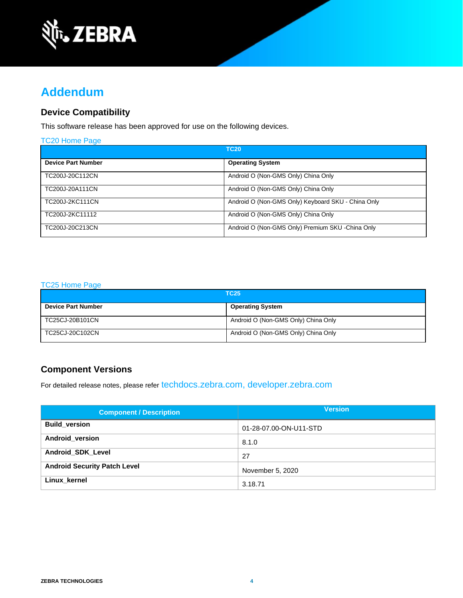

# **Addendum**

### **Device Compatibility**

This software release has been approved for use on the following devices.

| TC20 Home Page            |                                                    |
|---------------------------|----------------------------------------------------|
|                           | <b>TC20</b>                                        |
| <b>Device Part Number</b> | <b>Operating System</b>                            |
| TC200J-20C112CN           | Android O (Non-GMS Only) China Only                |
| TC200J-20A111CN           | Android O (Non-GMS Only) China Only                |
| TC200J-2KC111CN           | Android O (Non-GMS Only) Keyboard SKU - China Only |
| TC200J-2KC11112           | Android O (Non-GMS Only) China Only                |
| TC200J-20C213CN           | Android O (Non-GMS Only) Premium SKU - China Only  |

#### [TC25 Home Page](https://www.zebra.com/us/en/support-downloads/software/operating-system/tc25-operating-system-non-gms.html)

| <b>TC25</b>               |                                     |
|---------------------------|-------------------------------------|
| <b>Device Part Number</b> | <b>Operating System</b>             |
| TC25CJ-20B101CN           | Android O (Non-GMS Only) China Only |
| TC25CJ-20C102CN           | Android O (Non-GMS Only) China Only |

### **Component Versions**

For detailed release notes, please refer [techdocs.zebra.com,](https://techdocs.zebra.com/) [developer.zebra.com](https://developer.zebra.com/)

| <b>Component / Description</b>      | <b>Version</b>         |
|-------------------------------------|------------------------|
| <b>Build version</b>                | 01-28-07.00-ON-U11-STD |
| Android version                     | 8.1.0                  |
| <b>Android SDK Level</b>            | 27                     |
| <b>Android Security Patch Level</b> | November 5, 2020       |
| Linux kernel                        | 3.18.71                |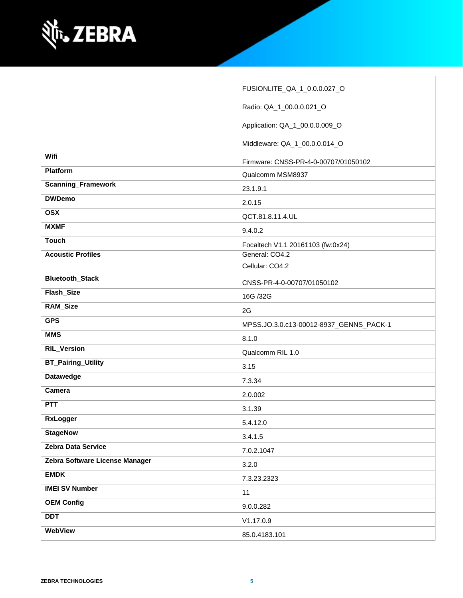

|                                | FUSIONLITE_QA_1_0.0.0.027_O             |
|--------------------------------|-----------------------------------------|
|                                | Radio: QA_1_00.0.0.021_O                |
|                                | Application: QA_1_00.0.0.009_O          |
|                                | Middleware: QA_1_00.0.0.014_O           |
| Wifi                           | Firmware: CNSS-PR-4-0-00707/01050102    |
| Platform                       | Qualcomm MSM8937                        |
| <b>Scanning_Framework</b>      | 23.1.9.1                                |
| <b>DWDemo</b>                  | 2.0.15                                  |
| <b>OSX</b>                     | QCT.81.8.11.4.UL                        |
| <b>MXMF</b>                    | 9.4.0.2                                 |
| <b>Touch</b>                   | Focaltech V1.1 20161103 (fw:0x24)       |
| <b>Acoustic Profiles</b>       | General: CO4.2                          |
|                                | Cellular: CO4.2                         |
| <b>Bluetooth_Stack</b>         | CNSS-PR-4-0-00707/01050102              |
| Flash_Size                     | 16G /32G                                |
| <b>RAM_Size</b>                | 2G                                      |
| <b>GPS</b>                     | MPSS.JO.3.0.c13-00012-8937_GENNS_PACK-1 |
| <b>MMS</b>                     | 8.1.0                                   |
| <b>RIL_Version</b>             | Qualcomm RIL 1.0                        |
| <b>BT_Pairing_Utility</b>      | 3.15                                    |
| <b>Datawedge</b>               | 7.3.34                                  |
| Camera                         | 2.0.002                                 |
| <b>PTT</b>                     | 3.1.39                                  |
| <b>RxLogger</b>                | 5.4.12.0                                |
| <b>StageNow</b>                | 3.4.1.5                                 |
| Zebra Data Service             | 7.0.2.1047                              |
| Zebra Software License Manager | 3.2.0                                   |
| <b>EMDK</b>                    | 7.3.23.2323                             |
| <b>IMEI SV Number</b>          | 11                                      |
| <b>OEM Config</b>              | 9.0.0.282                               |
| <b>DDT</b>                     | V1.17.0.9                               |
| WebView                        | 85.0.4183.101                           |